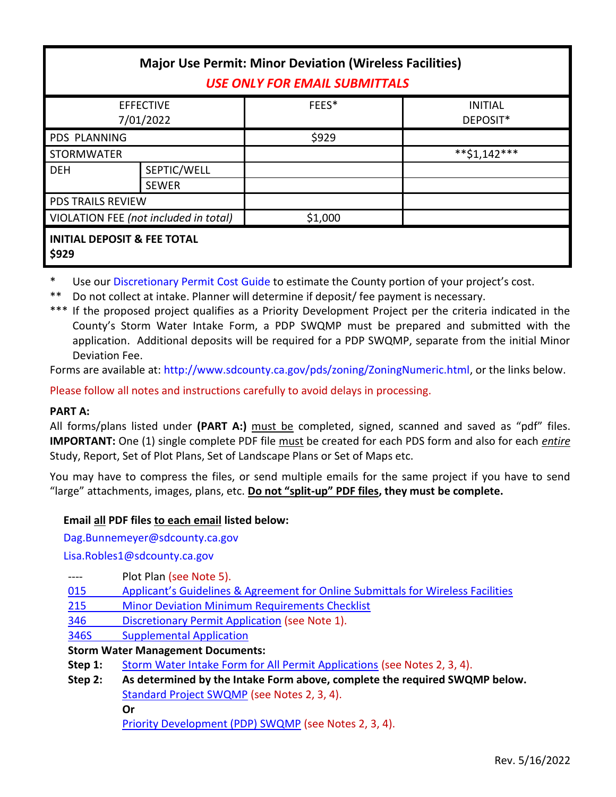| <b>Major Use Permit: Minor Deviation (Wireless Facilities)</b><br><b>USE ONLY FOR EMAIL SUBMITTALS</b> |                             |         |                            |  |
|--------------------------------------------------------------------------------------------------------|-----------------------------|---------|----------------------------|--|
| <b>EFFECTIVE</b><br>7/01/2022                                                                          |                             | FEES*   | <b>INITIAL</b><br>DEPOSIT* |  |
| <b>PDS PLANNING</b>                                                                                    |                             | \$929   |                            |  |
| <b>STORMWATER</b>                                                                                      |                             |         | $*$ *\$1,142***            |  |
| <b>DEH</b>                                                                                             | SEPTIC/WELL<br><b>SEWER</b> |         |                            |  |
| <b>PDS TRAILS REVIEW</b>                                                                               |                             |         |                            |  |
| VIOLATION FEE (not included in total)                                                                  |                             | \$1,000 |                            |  |
| <b>INITIAL DEPOSIT &amp; FEE TOTAL</b><br>\$929                                                        |                             |         |                            |  |

\* Use ou[r Discretionary Permit Cost Guide](http://www.sandiegocounty.gov/content/dam/sdc/pds/docs/Discretionary_Permit_Cost_Guide.xlsx) to estimate the County portion of your project's cost.

Do not collect at intake. Planner will determine if deposit/ fee payment is necessary.

\*\*\* If the proposed project qualifies as a Priority Development Project per the criteria indicated in the County's Storm Water Intake Form, a PDP SWQMP must be prepared and submitted with the application. Additional deposits will be required for a PDP SWQMP, separate from the initial Minor Deviation Fee.

Forms are available at[: http://www.sdcounty.ca.gov/pds/zoning/ZoningNumeric.html,](http://www.sdcounty.ca.gov/pds/zoning/ZoningNumeric.html) or the links below.

Please follow all notes and instructions carefully to avoid delays in processing.

# **PART A:**

All forms/plans listed under **(PART A:)** must be completed, signed, scanned and saved as "pdf" files. **IMPORTANT:** One (1) single complete PDF file must be created for each PDS form and also for each *entire* Study, Report, Set of Plot Plans, Set of Landscape Plans or Set of Maps etc.

You may have to compress the files, or send multiple emails for the same project if you have to send "large" attachments, images, plans, etc. **Do not "split-up" PDF files, they must be complete.**

# **Email all PDF files to each email listed below:**

[Dag.Bunnemeyer@sdcounty.ca.gov](mailto:Dag.Bunnemeyer@sdcounty.ca.gov)

[Lisa.Robles1@sdcounty.ca.gov](mailto:Lisa.Robles1@sdcounty.ca.gov)

- ---- Plot Plan (see Note 5).
- 015 [Applicant's Guidelines & Agreement for Online Su](http://www.sdcounty.ca.gov/pds/zoning/formfields/PDS-PLN-015.pdf)bmittals for Wireless Facilities
- 215 [Minor Deviation Minimum Requirements Checklist](http://www.sdcounty.ca.gov/pds/zoning/formfields/PDS-PLN-215.pdf)
- 346 [Discretionary Permit Application](http://www.sdcounty.ca.gov/pds/zoning/formfields/PDS-PLN-346.pdf) (see Note 1).
- [346S Supplemental Application](http://www.sdcounty.ca.gov/pds/zoning/formfields/PDS-PLN-346S.pdf)

### **Storm Water Management Documents:**

- Step 1: [Storm Water Intake Form for All Permit Applications](http://www.sandiegocounty.gov/content/dam/sdc/pds/zoning/formfields/SWQMP-Intake-Form.pdf) (see Notes 2, 3, 4).
- **Step 2: As determined by the Intake Form above, complete the required SWQMP below.** [Standard Project SWQMP](http://www.sandiegocounty.gov/content/dam/sdc/pds/zoning/formfields/SWQMP-Standard.pdf) (see Notes 2, 3, 4). **Or**

[Priority Development \(PDP\) SWQMP](https://www.sandiegocounty.gov/content/sdc/dpw/watersheds/DevelopmentandConstruction/BMP_Design_Manual.html) (see Notes 2, 3, 4).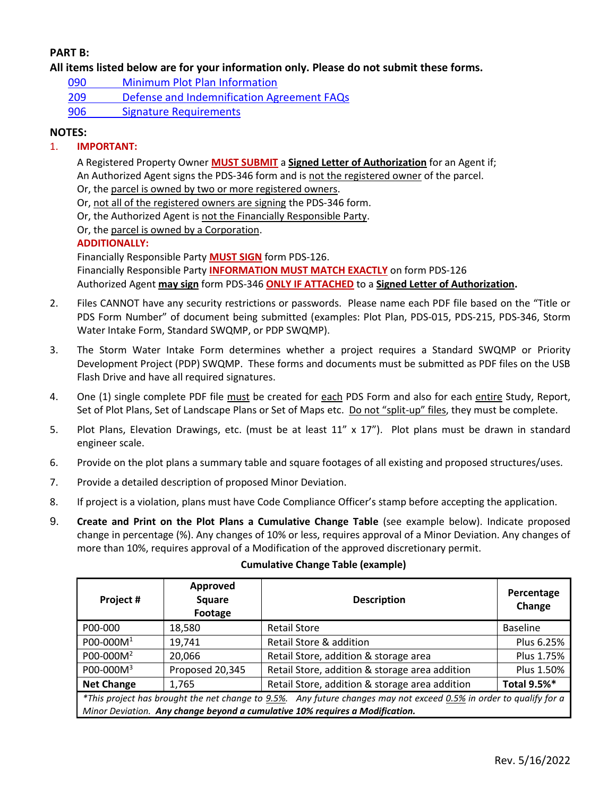## **PART B:**

**All items listed below are for your information only. Please do not submit these forms.**

- 090 [Minimum Plot Plan Information](http://www.sdcounty.ca.gov/pds/docs/pds090.pdf)
- 209 [Defense and Indemnification Agreement FAQs](http://www.sdcounty.ca.gov/pds/zoning/formfields/PDS-PLN-209.pdf)
- [906 Signature Requirements](http://www.sdcounty.ca.gov/pds/zoning/formfields/PDS-PLN-906.pdf)

## **NOTES:**

## 1. **IMPORTANT:**

A Registered Property Owner **MUST SUBMIT** a **Signed Letter of Authorization** for an Agent if; An Authorized Agent signs the PDS-346 form and is not the registered owner of the parcel.

Or, the parcel is owned by two or more registered owners.

Or, not all of the registered owners are signing the PDS-346 form.

Or, the Authorized Agent is not the Financially Responsible Party.

Or, the parcel is owned by a Corporation.

### **ADDITIONALLY:**

Financially Responsible Party **MUST SIGN** form PDS-126. Financially Responsible Party **INFORMATION MUST MATCH EXACTLY** on form PDS-126 Authorized Agent **may sign** form PDS-346 **ONLY IF ATTACHED** to a **Signed Letter of Authorization.**

- 2. Files CANNOT have any security restrictions or passwords. Please name each PDF file based on the "Title or PDS Form Number" of document being submitted (examples: Plot Plan, PDS-015, PDS-215, PDS-346, Storm Water Intake Form, Standard SWQMP, or PDP SWQMP).
- 3. The Storm Water Intake Form determines whether a project requires a Standard SWQMP or Priority Development Project (PDP) SWQMP. These forms and documents must be submitted as PDF files on the USB Flash Drive and have all required signatures.
- 4. One (1) single complete PDF file must be created for each PDS Form and also for each entire Study, Report, Set of Plot Plans, Set of Landscape Plans or Set of Maps etc. Do not "split-up" files, they must be complete.
- 5. Plot Plans, Elevation Drawings, etc. (must be at least 11" x 17"). Plot plans must be drawn in standard engineer scale.
- 6. Provide on the plot plans a summary table and square footages of all existing and proposed structures/uses.
- 7. Provide a detailed description of proposed Minor Deviation.
- 8. If project is a violation, plans must have Code Compliance Officer's stamp before accepting the application.
- 9. **Create and Print on the Plot Plans a Cumulative Change Table** (see example below). Indicate proposed change in percentage (%). Any changes of 10% or less, requires approval of a Minor Deviation. Any changes of more than 10%, requires approval of a Modification of the approved discretionary permit.

| Project #                                                                                                          | Approved<br>Square<br>Footage | <b>Description</b>                             | Percentage<br>Change |  |  |
|--------------------------------------------------------------------------------------------------------------------|-------------------------------|------------------------------------------------|----------------------|--|--|
| P00-000                                                                                                            | 18,580                        | <b>Retail Store</b>                            | <b>Baseline</b>      |  |  |
| $POO-OOOM1$                                                                                                        | 19,741                        | Retail Store & addition                        | Plus 6.25%           |  |  |
| P00-000M <sup>2</sup>                                                                                              | 20,066                        | Retail Store, addition & storage area          | Plus 1.75%           |  |  |
| P00-000M <sup>3</sup>                                                                                              | Proposed 20,345               | Retail Store, addition & storage area addition | Plus 1.50%           |  |  |
| <b>Net Change</b>                                                                                                  | 1,765                         | Retail Store, addition & storage area addition | <b>Total 9.5%*</b>   |  |  |
| *This project has brought the net change to 9.5%. Any future changes may not exceed 0.5% in order to qualify for a |                               |                                                |                      |  |  |
| Minor Deviation. Any change beyond a cumulative 10% requires a Modification.                                       |                               |                                                |                      |  |  |

#### **Cumulative Change Table (example)**